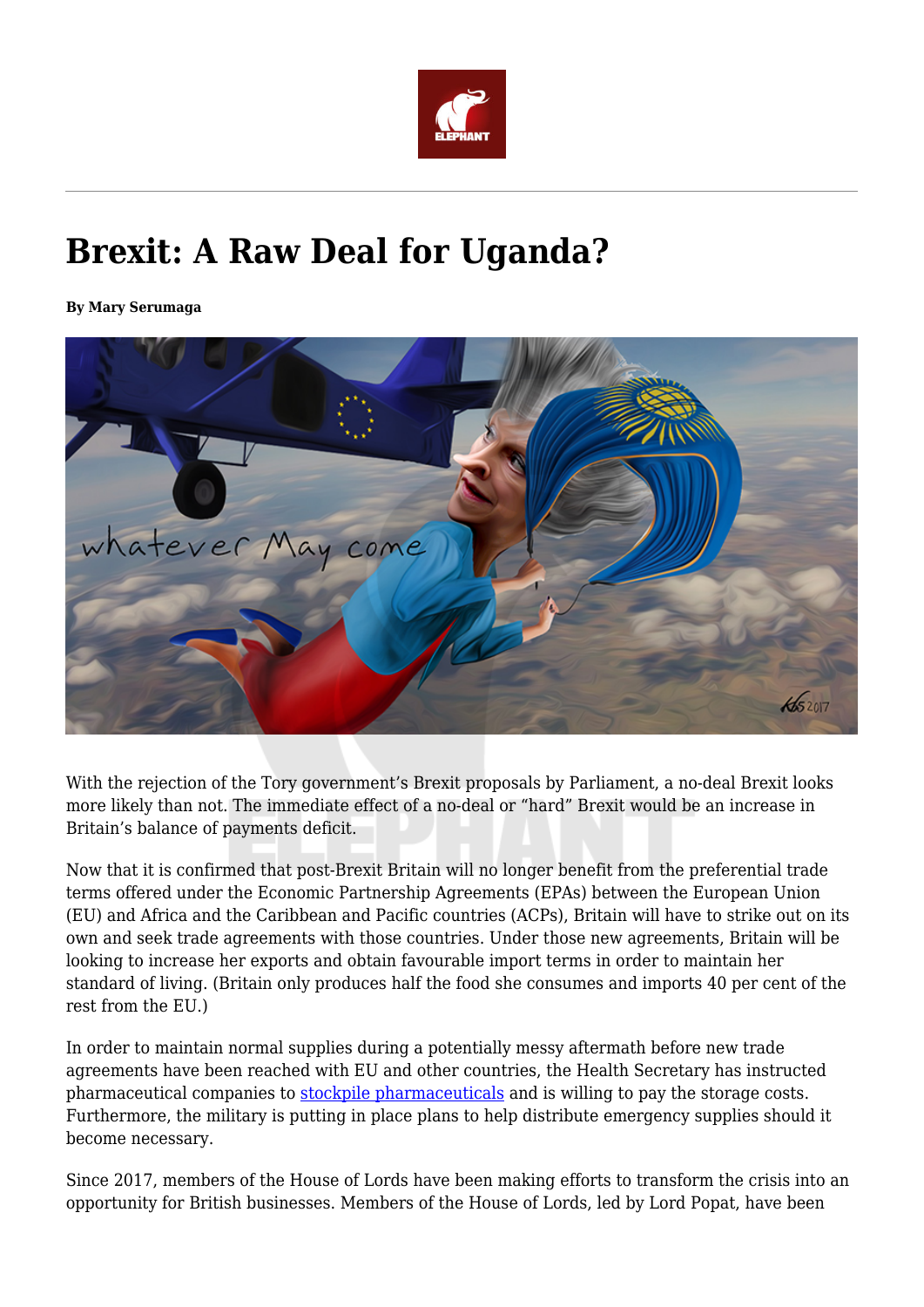

## **Brexit: A Raw Deal for Uganda?**

**By Mary Serumaga**



With the rejection of the Tory government's Brexit proposals by Parliament, a no-deal Brexit looks more likely than not. The immediate effect of a no-deal or "hard" Brexit would be an increase in Britain's balance of payments deficit.

Now that it is confirmed that post-Brexit Britain will no longer benefit from the preferential trade terms offered under the Economic Partnership Agreements (EPAs) between the European Union (EU) and Africa and the Caribbean and Pacific countries (ACPs), Britain will have to strike out on its own and seek trade agreements with those countries. Under those new agreements, Britain will be looking to increase her exports and obtain favourable import terms in order to maintain her standard of living. (Britain only produces half the food she consumes and imports 40 per cent of the rest from the EU.)

In order to maintain normal supplies during a potentially messy aftermath before new trade agreements have been reached with EU and other countries, the Health Secretary has instructed pharmaceutical companies to **[stockpile pharmaceuticals](https://www.hsj.co.uk/policy-and-regulation/brexit-ministers-launch-tens-of-millions-bid-to-stockpile-medicine-/7023652.article)** and is willing to pay the storage costs. Furthermore, the military is putting in place plans to help distribute emergency supplies should it become necessary.

Since 2017, members of the House of Lords have been making efforts to transform the crisis into an opportunity for British businesses. Members of the House of Lords, led by Lord Popat, have been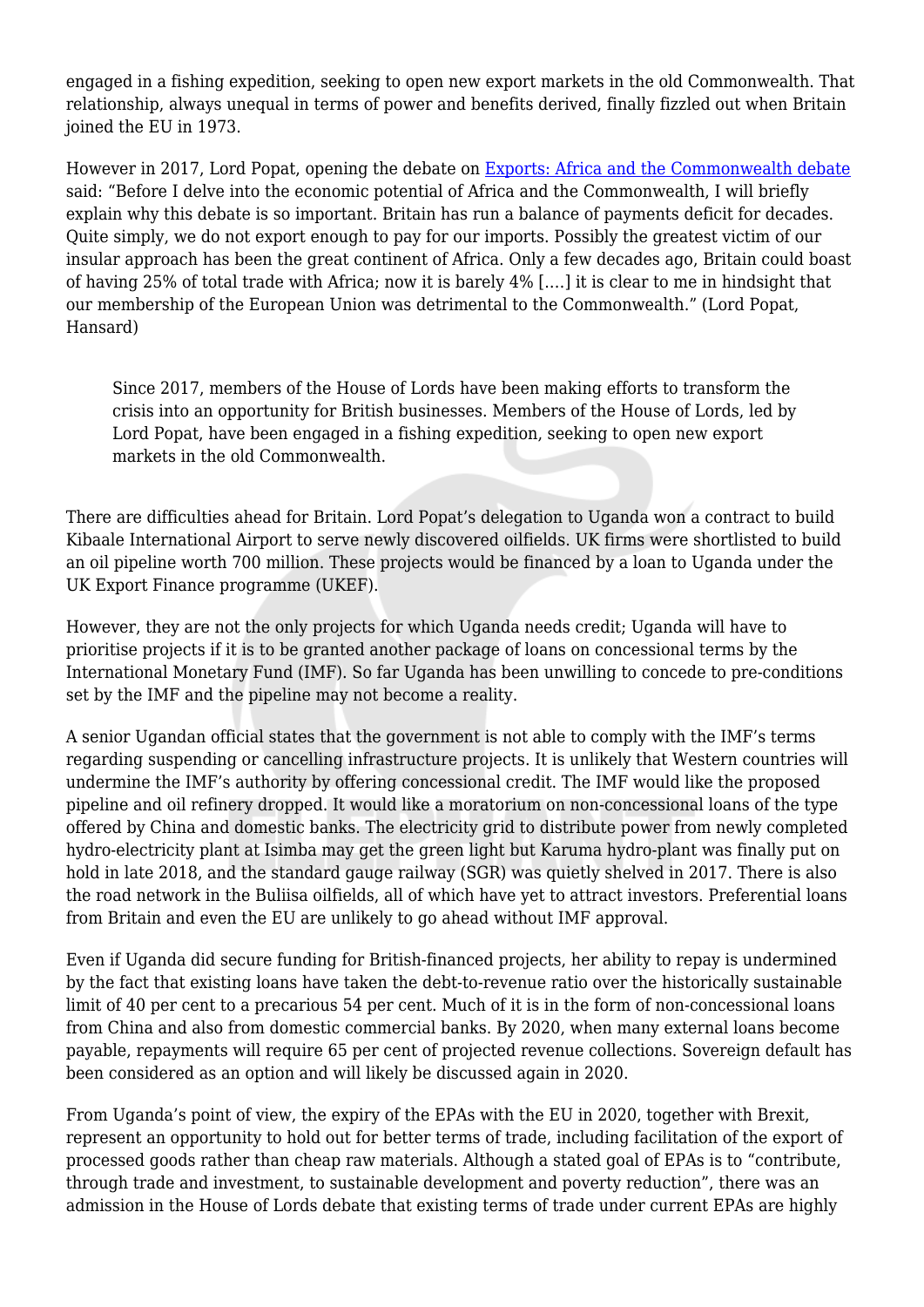engaged in a fishing expedition, seeking to open new export markets in the old Commonwealth. That relationship, always unequal in terms of power and benefits derived, finally fizzled out when Britain joined the EU in 1973.

However in 2017, Lord Popat, opening the debate on [Exports: Africa and the Commonwealth debate](http://hansard.parliament.uk/Lords/2017-11-27/debates/E207CAA1-74F5-43D2-A872-B805E83A07B9/ExportsAfricaAndTheCommonwealth) said: "Before I delve into the economic potential of Africa and the Commonwealth, I will briefly explain why this debate is so important. Britain has run a balance of payments deficit for decades. Quite simply, we do not export enough to pay for our imports. Possibly the greatest victim of our insular approach has been the great continent of Africa. Only a few decades ago, Britain could boast of having 25% of total trade with Africa; now it is barely 4% [.…] it is clear to me in hindsight that our membership of the European Union was detrimental to the Commonwealth." (Lord Popat, Hansard)

Since 2017, members of the House of Lords have been making efforts to transform the crisis into an opportunity for British businesses. Members of the House of Lords, led by Lord Popat, have been engaged in a fishing expedition, seeking to open new export markets in the old Commonwealth.

There are difficulties ahead for Britain. Lord Popat's delegation to Uganda won a contract to build Kibaale International Airport to serve newly discovered oilfields. UK firms were shortlisted to build an oil pipeline worth 700 million. These projects would be financed by a loan to Uganda under the UK Export Finance programme (UKEF).

However, they are not the only projects for which Uganda needs credit; Uganda will have to prioritise projects if it is to be granted another package of loans on concessional terms by the International Monetary Fund (IMF). So far Uganda has been unwilling to concede to pre-conditions set by the IMF and the pipeline may not become a reality.

A senior Ugandan official states that the government is not able to comply with the IMF's terms regarding suspending or cancelling infrastructure projects. It is unlikely that Western countries will undermine the IMF's authority by offering concessional credit. The IMF would like the proposed pipeline and oil refinery dropped. It would like a moratorium on non-concessional loans of the type offered by China and domestic banks. The electricity grid to distribute power from newly completed hydro-electricity plant at Isimba may get the green light but Karuma hydro-plant was finally put on hold in late 2018, and the standard gauge railway (SGR) was quietly shelved in 2017. There is also the road network in the Buliisa oilfields, all of which have yet to attract investors. Preferential loans from Britain and even the EU are unlikely to go ahead without IMF approval.

Even if Uganda did secure funding for British-financed projects, her ability to repay is undermined by the fact that existing loans have taken the debt-to-revenue ratio over the historically sustainable limit of 40 per cent to a precarious 54 per cent. Much of it is in the form of non-concessional loans from China and also from domestic commercial banks. By 2020, when many external loans become payable, repayments will require 65 per cent of projected revenue collections. Sovereign default has been considered as an option and will likely be discussed again in 2020.

From Uganda's point of view, the expiry of the EPAs with the EU in 2020, together with Brexit, represent an opportunity to hold out for better terms of trade, including facilitation of the export of processed goods rather than cheap raw materials. Although a stated goal of EPAs is to "contribute, through trade and investment, to sustainable development and poverty reduction", there was an admission in the House of Lords debate that existing terms of trade under current EPAs are highly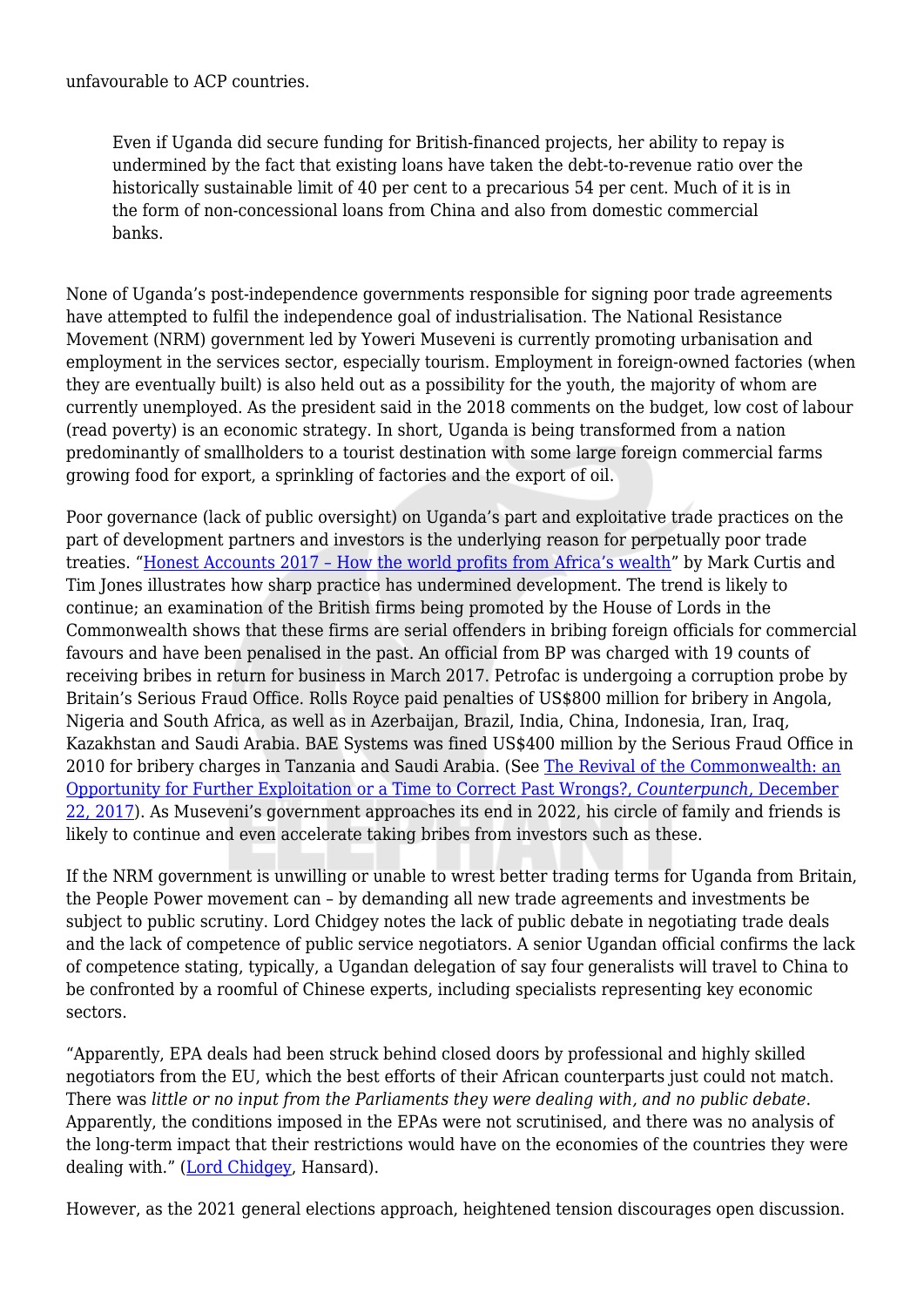unfavourable to ACP countries.

Even if Uganda did secure funding for British-financed projects, her ability to repay is undermined by the fact that existing loans have taken the debt-to-revenue ratio over the historically sustainable limit of 40 per cent to a precarious 54 per cent. Much of it is in the form of non-concessional loans from China and also from domestic commercial banks.

None of Uganda's post-independence governments responsible for signing poor trade agreements have attempted to fulfil the independence goal of industrialisation. The National Resistance Movement (NRM) government led by Yoweri Museveni is currently promoting urbanisation and employment in the services sector, especially tourism. Employment in foreign-owned factories (when they are eventually built) is also held out as a possibility for the youth, the majority of whom are currently unemployed. As the president said in the 2018 comments on the budget, low cost of labour (read poverty) is an economic strategy. In short, Uganda is being transformed from a nation predominantly of smallholders to a tourist destination with some large foreign commercial farms growing food for export, a sprinkling of factories and the export of oil.

Poor governance (lack of public oversight) on Uganda's part and exploitative trade practices on the part of development partners and investors is the underlying reason for perpetually poor trade treaties. ["Honest Accounts 2017 – How the world profits from Africa's wealth"](http://www.cadtm.org/Honest-Accounts-2017-How-the-world) by Mark Curtis and Tim Jones illustrates how sharp practice has undermined development. The trend is likely to continue; an examination of the British firms being promoted by the House of Lords in the Commonwealth shows that these firms are serial offenders in bribing foreign officials for commercial favours and have been penalised in the past. An official from BP was charged with 19 counts of receiving bribes in return for business in March 2017. Petrofac is undergoing a corruption probe by Britain's Serious Fraud Office. Rolls Royce paid penalties of US\$800 million for bribery in Angola, Nigeria and South Africa, as well as in Azerbaijan, Brazil, India, China, Indonesia, Iran, Iraq, Kazakhstan and Saudi Arabia. BAE Systems was fined US\$400 million by the Serious Fraud Office in 2010 for bribery charges in Tanzania and Saudi Arabia. (See [The Revival of the Commonwealth: an](https://www.counterpunch.org/2017/12/22/the-revival-of-the-commonwealth-an-opportunity-for-further-exploitation-or-a-time-to-correct-past-wrongs/) [Opportunity for Further Exploitation or a Time to Correct Past Wrongs?,](https://www.counterpunch.org/2017/12/22/the-revival-of-the-commonwealth-an-opportunity-for-further-exploitation-or-a-time-to-correct-past-wrongs/) *[Counterpunch](https://www.counterpunch.org/2017/12/22/the-revival-of-the-commonwealth-an-opportunity-for-further-exploitation-or-a-time-to-correct-past-wrongs/)*[, December](https://www.counterpunch.org/2017/12/22/the-revival-of-the-commonwealth-an-opportunity-for-further-exploitation-or-a-time-to-correct-past-wrongs/) [22, 2017\)](https://www.counterpunch.org/2017/12/22/the-revival-of-the-commonwealth-an-opportunity-for-further-exploitation-or-a-time-to-correct-past-wrongs/). As Museveni's government approaches its end in 2022, his circle of family and friends is likely to continue and even accelerate taking bribes from investors such as these.

If the NRM government is unwilling or unable to wrest better trading terms for Uganda from Britain, the People Power movement can – by demanding all new trade agreements and investments be subject to public scrutiny. Lord Chidgey notes the lack of public debate in negotiating trade deals and the lack of competence of public service negotiators. A senior Ugandan official confirms the lack of competence stating, typically, a Ugandan delegation of say four generalists will travel to China to be confronted by a roomful of Chinese experts, including specialists representing key economic sectors.

"Apparently, EPA deals had been struck behind closed doors by professional and highly skilled negotiators from the EU, which the best efforts of their African counterparts just could not match. There was *little or no input from the Parliaments they were dealing with, and no public debate*. Apparently, the conditions imposed in the EPAs were not scrutinised, and there was no analysis of the long-term impact that their restrictions would have on the economies of the countries they were dealing with." [\(Lord Chidgey,](http://hansard.parliament.uk/Lords/2017-11-27/debates/E207CAA1-74F5-43D2-A872-B805E83A07B9/ExportsAfricaAndTheCommonwealth) Hansard).

However, as the 2021 general elections approach, heightened tension discourages open discussion.